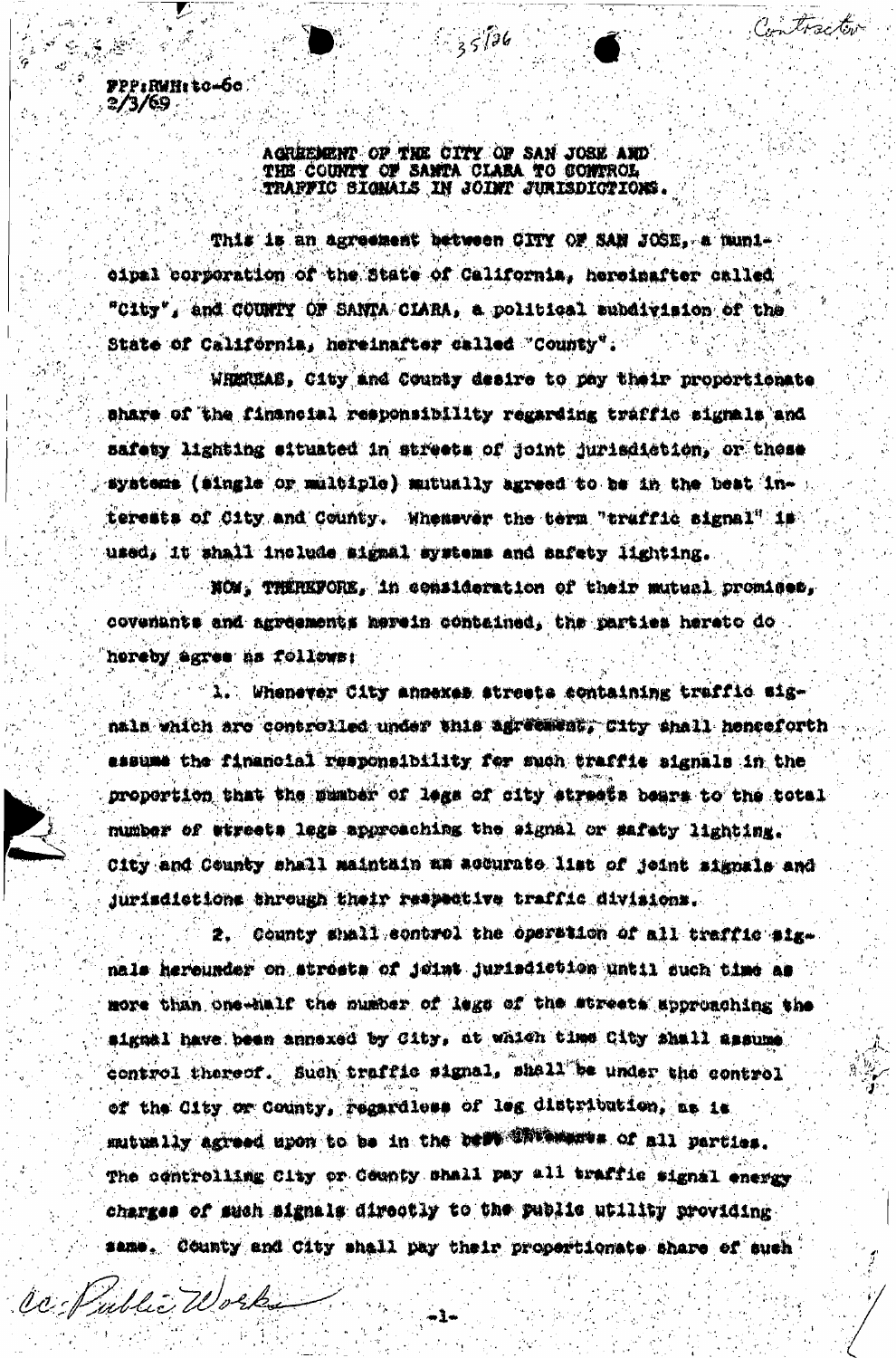PPP:RuH: to-60  $2/3/69$ 

Co Nubli Work

## AGREEMENT OF THE CITY OF SAN JOSE AND THE COUNTY OF SANTA CLARA TO CONTROL TRAFFIC SIGNALS IN JOINT JURISDICTIONS.

 $35126$ 

Iracto

This is an agreement between CITY OF SAN JOSE, a municipal corporation of the State of California, hereinafter called "City", and COUNTY OF SANTA CLARA, a political subdivision of the State of California, hereinafter called "County".

WHEREAS, City and County desire to pay their proportionate share of the financial responsibility regarding traffic signals and safety lighting situated in streets of joint jurisdiction, or these systems (single or multiple) mutually agreed to be in the best interests of City and County. Whenever the term "truffic signal" is used, it shall include signal systems and safety lighting.

NOW, THEREFORE, in consideration of their mutual promises, covenants and agreements herein contained, the parties hereto do hereby agree as follows:

Whenever City annexes streets containing traffic signala which are controlled under this agreement, City shall henceforth assume the financial responsibility for such traffic signals in the proportion that the mumber of legs of city streets bears to the total mumber of etreets legs approaching the signal or safety lighting. City and County shall maintain am accurate list of jeint signals and jurisdictions through their respective traffic divisions.

2. County shall control the operation of all traffic signals hereunder on streets of joint jurisdiction until such time as more than one-half the number of legs of the streets approaching the signal have been annexed by City, at which time City shall assume control thereof. Such traffic signal, shall be under the control of the City or County, regardless of leg distribution, as is mutually agreed upon to be in the belt Whitewares of all parties. The controlling City or County shall pay all traffic signal energy charges of such signals directly to the public utility providing same. County and City shall pay their propertionate share of such

-1-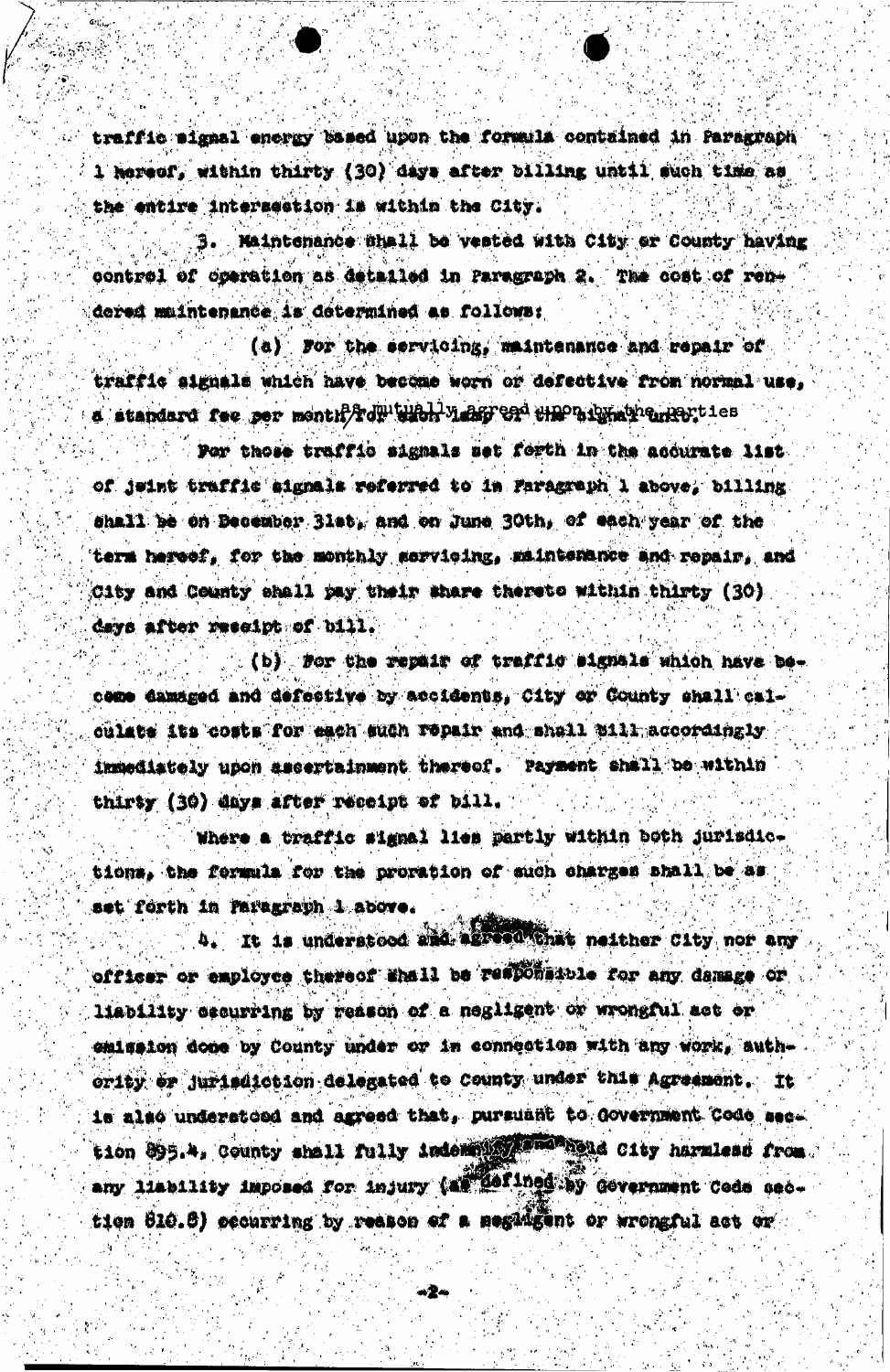traffic signal energy based upon the formula contained in Paragraph 1 hereof, within thirty (30) days after billing until such time as the entire intersection is within the City.

. Maintenance shall be vested with City or County having control of operation as detailed in Paragraph 2. The cost of rendered muintenance is determined as follows:

(a) For the servicing, maintenance and repair of traffic signals which have become worn or defective from normal use. d standard fee per month routing valge on the advantagementies

Por those traffic signals set forth in the accurate list of jeint traffic signals referred to in Faragraph 1 above, billing shall be on Becember Blat, and on June 30th, of each year of the term hereef. for the monthly servicing, maintenance and repair, and City and County shall pay their share thereto within thirty (30) days after reseipt of bill.

(b) for the repair of traffic signals which have become damaged and defective by accidents, City or County shall calculate its costs for each such repair and shall mill accordingly inmediately upon ascertainment thereof. Payment shall be within thirty (30) days after receipt of bill.

Where a traffic signal lies partly within both jurisdictions, the formula for the proration of such charges shall be as set forth in Paragraph 1 above.

4. It is understood and agreed that neither City nor any officer or employee thereof thall be responsible for any damage or liability cecurring by reason of a negligent or wrongful act or emisaton done by County under or in connection with any work, authority or jurisdiction delegated to County under this Agreement. It is also understoed and agreed that, pursuant to Government Code sec. tion 895.4, County shall fully indemal states have harmless from any liability imposed for injury (at defined by Government Code section 810.8) occurring by reason of a negatigent or wrongful act or

. 2-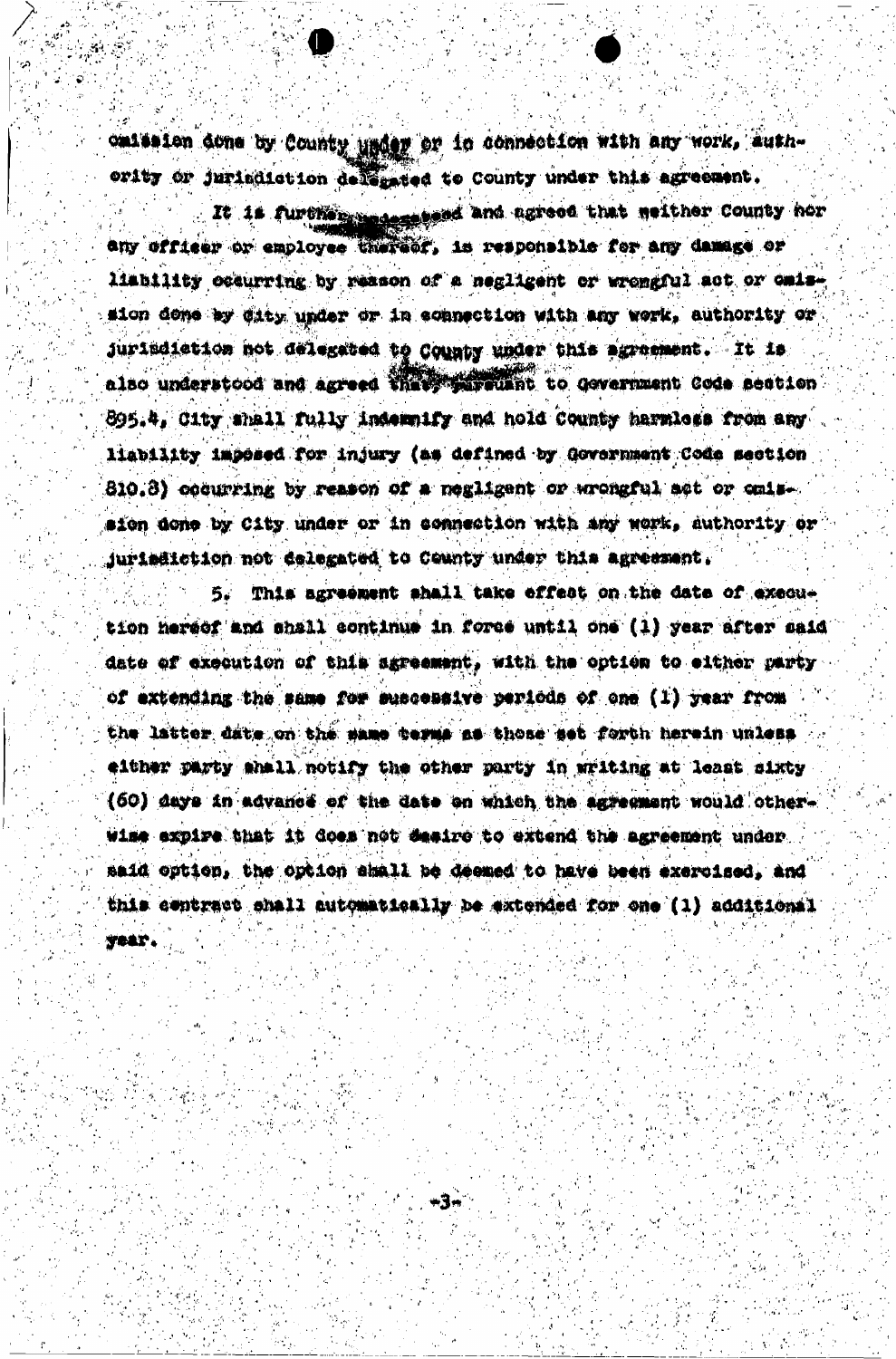omission done by County under or in connection with any work, authority or jurisdiction delegated to County under this agreement.

It is further assessed and agreed that weither County hor any ufficer or employee thereof, is responsible for any damage or liability occurring by reason of a negligent or wrongful act or calssion done by dity under or in connection with any work, authority or jurindiction not delegated to County under this agramment. It is also understood and agreed that mureuant to devernment Code section 895.4, City shall fully indemnify and hold County harmless from any liability imposed for injury (as defined by Government Code section 810.8) cocurring by reason of a negligent or wrongful act or cmission done by City under or in connection with any work, authority or jurisäiction not delegated to County under this agreement.

5. This agreement shall take effect on the date of execution hereof and shall continue in force until one (1) year after said date of execution of this agreement, with the option to either party of extending the same for suscessive periods of one (1) year from the latter date on the same cerms as those set forth herein unless either party shall notify the other party in writing at least sixty (50) days in advance of the date on which the agreement would otherwise expire that it does not sesire to extend the agreement under said option, the option shall be deemed to have been exercised, and this contract shall automatically be extended for one (1) additional **TOAT.** 

۰ŧ.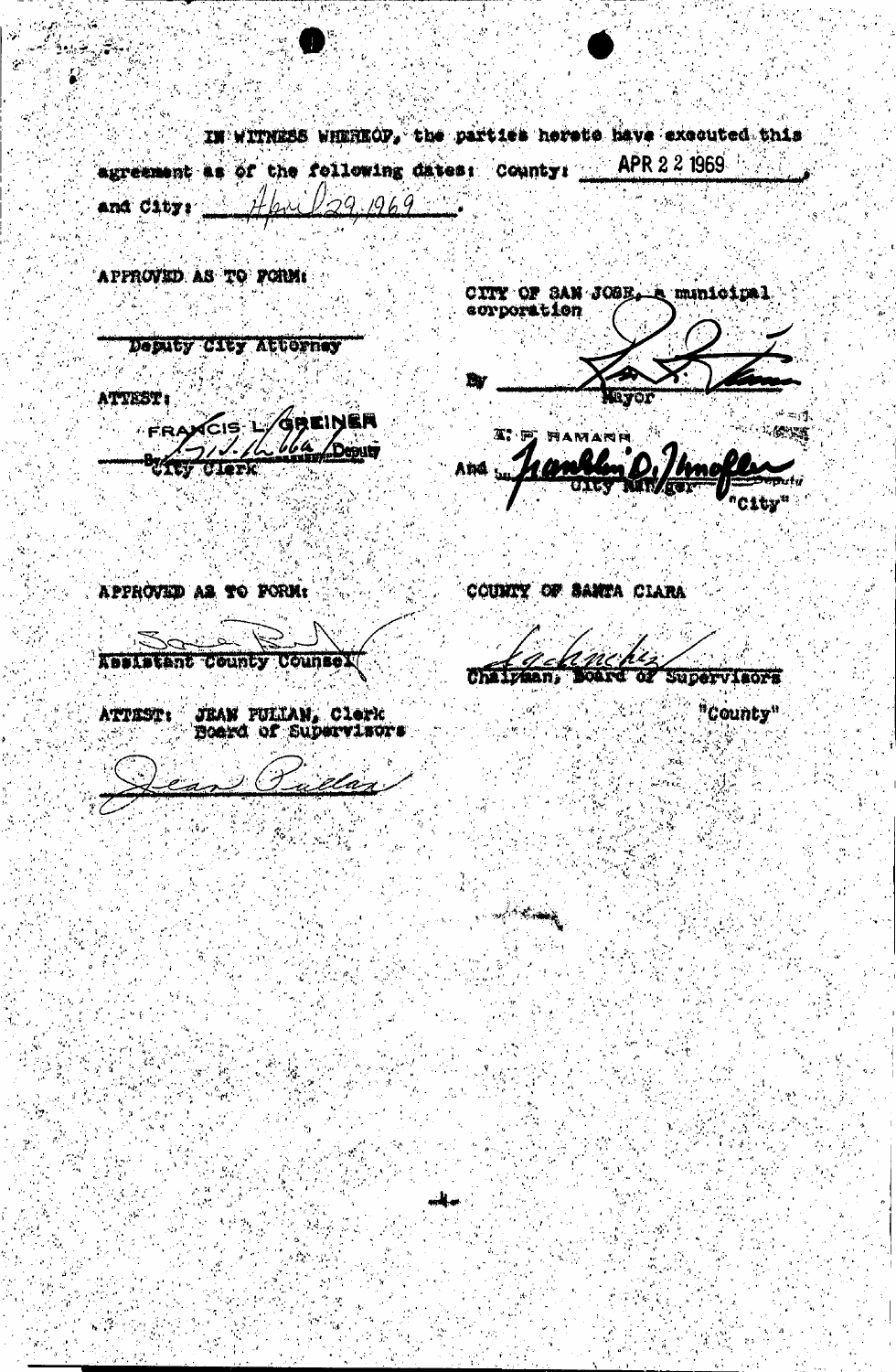IN WITNESS WHEREOF, the parties hereto have executed this agreement as of the following dates: County:  $\blacksquare$ APR 2.2 1969  $29.1969$ and City:

APPROVED AS TO FORM:

CITY OF SAN JOSE A minicipal

Desuty City Attorney

ATTEST:

FRAXCIS L/GREINER Deputy if ty **Clerk** 

**LYO**  $\psi=\psi$ 

៊ីស្តែឡូ **THE ALTER** And

APPROVED AS TO FORM:

COUNTY OF SANTA CLARA

Absistant County Counsel

JEAN PULLAN, Clerk<br>Board of Supervisors ATTEST:

elan

12n.

ن مستا<sup>ل</sup> المركزيون

"County"

SUDervisors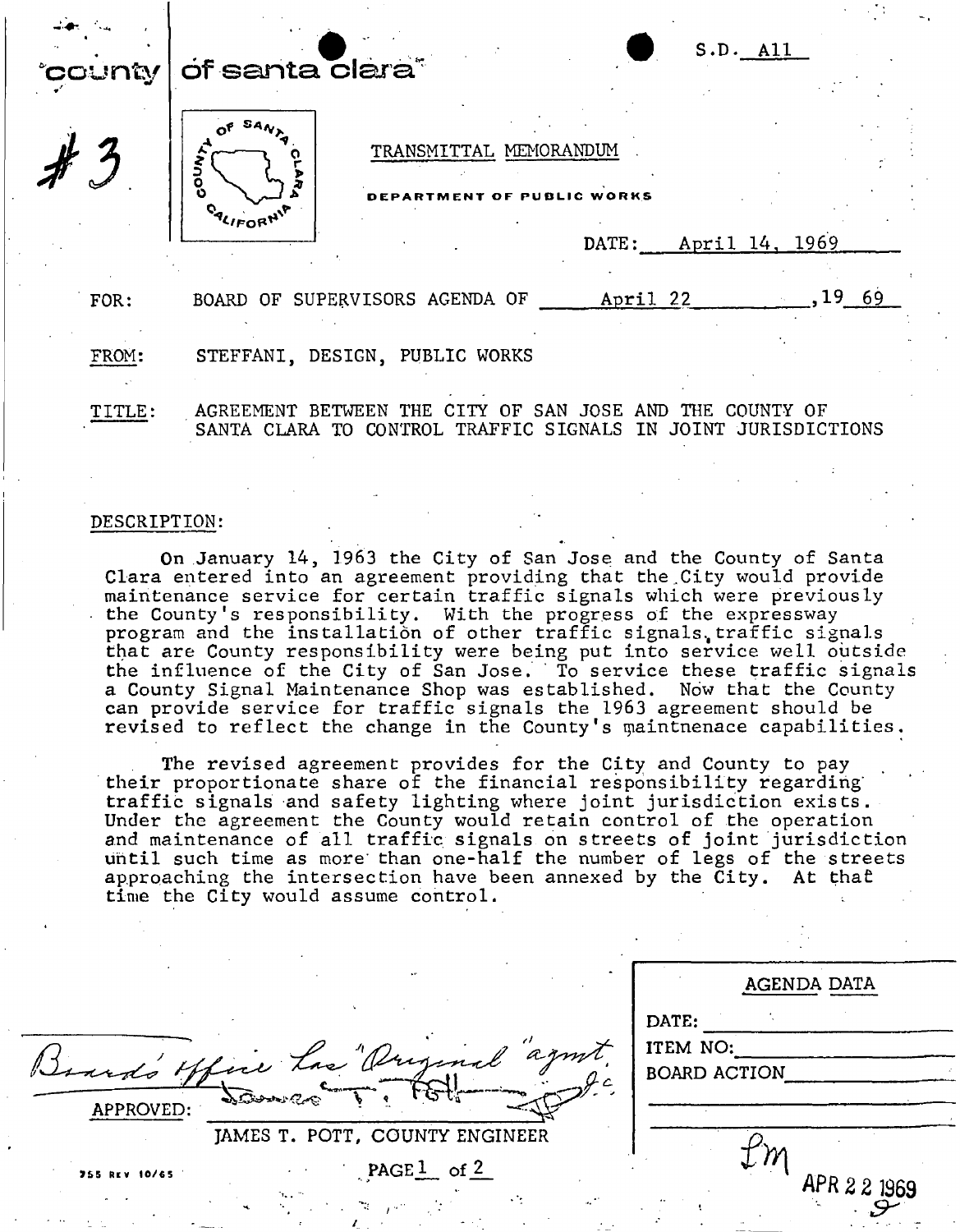| *county | S.D. All<br>of santa clara <sup>®</sup>                                                                                      |        |  |
|---------|------------------------------------------------------------------------------------------------------------------------------|--------|--|
|         | TRANSMITTAL MEMORANDUM<br>DEPARTMENT OF PUBLIC WORKS<br>DATE: April 14, 1969                                                 |        |  |
| FOR:    | April 22<br>BOARD OF SUPERVISORS AGENDA OF                                                                                   | ,19 69 |  |
| FROM:   | STEFFANI, DESIGN, PUBLIC WORKS                                                                                               |        |  |
| TITLE:  | AGREEMENT BETWEEN THE CITY OF SAN JOSE AND THE COUNTY OF<br>SANTA CLARA TO CONTROL TRAFFIC SIGNALS IN<br>JOINT JURISDICTIONS |        |  |

### DESCRIPTION:

On January 14, 1963 the City of San Jose and the County of Santa Clara entered into an agreement providing that the City would provide maintenance service for certain traffic signals which were previously the County's responsibility. With the progress of the expressway program and the installation of other traffic signals. traffic signals that are County responsibility were being put into service well outside the influence of the City of San Jose. To service these traffic signals a County Signal Maintenance Shop was established. Now that the County can provide service for traffic signals the 1963 agreement should be revised to reflect the change in the County's maintnenace capabilities.

The revised agreement provides for the City and County to pay their proportionate share of the financial responsibility regarding' traffic signals and safety lighting where joint jurisdiction exists. Under the agreement the County would retain control of the operation and maintenance of all traffic signals on streets of joint jurisdiction until such time as more than one-half the number of legs of the streets approaching the intersection have been annexed by the City. At that time the City would assume control.

| $\bullet$                                         | AGENDA DATA                       |  |
|---------------------------------------------------|-----------------------------------|--|
| and's office has "Ourginal" agent.<br>Salaren Coc | DATE:<br>ITEM NO:<br>BOARD ACTION |  |
| APPROVED:<br>JAMES T. POTT, COUNTY ENGINEER       |                                   |  |
| PAGE <sup>1</sup> of $2$<br>755 REV 10/65<br>n.,  | APR 2 2 1969                      |  |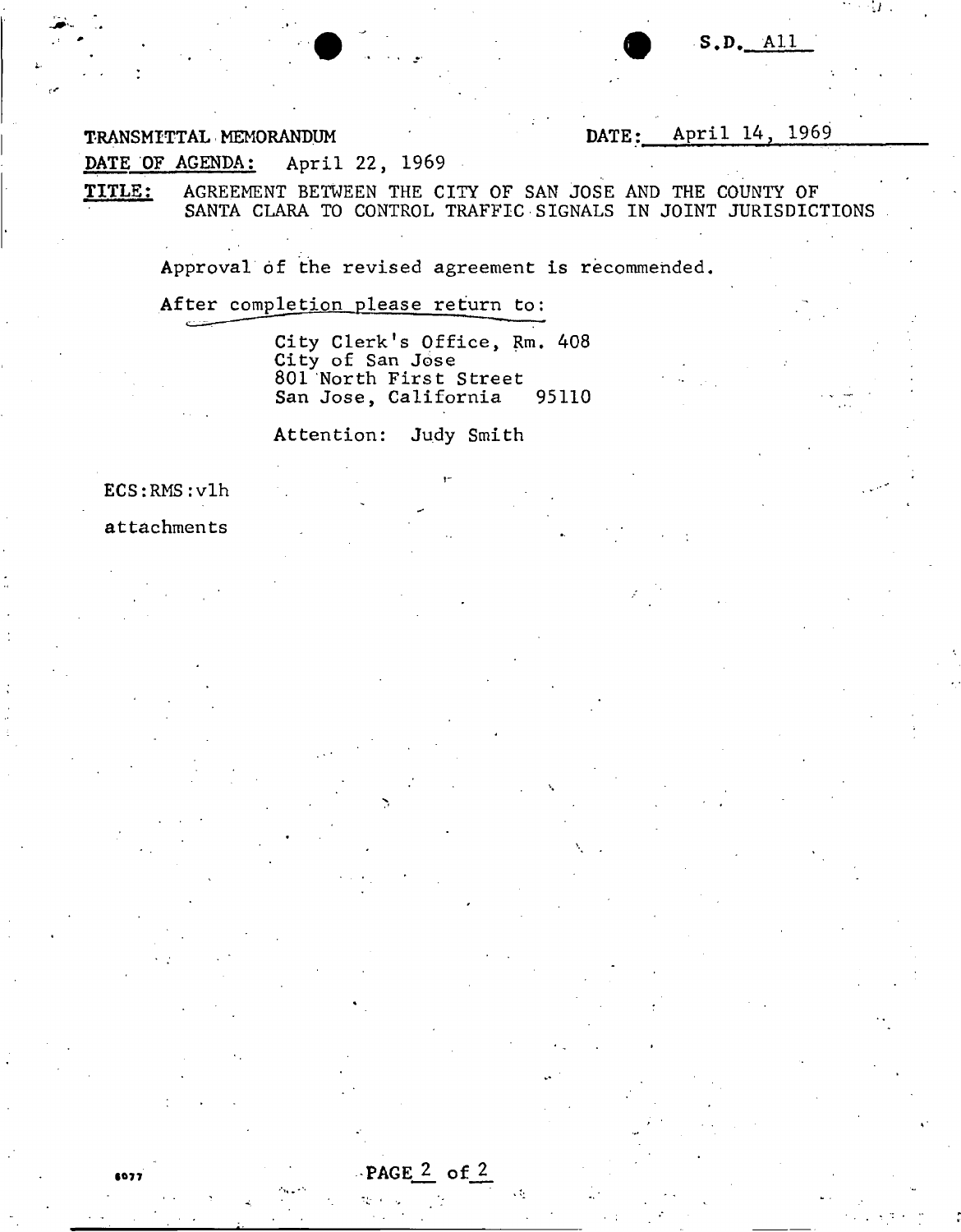1/

*i•* 

TRANSMITTAL MEMORANDUM DATE: April 14, 1969

DATE OF AGENDA: April 22, 1969

TITLE: AGREEMENT BETWEEN THE CITY OF SAN JOSE AND THE COUNTY OF SANTA CLARA TO CONTROL TRAFFIC SIGNALS IN JOINT JURISDICTIONS

Approval of the revised agreement is recommended.

After completion please return to:

City Clerk's Office, Rm. 408 City of San J6se 801 North First Street San Jose, California 95110

Attention: Judy Smith

ECS:RMS:vlh

attachments

•077

PAGE  $2$  of  $2$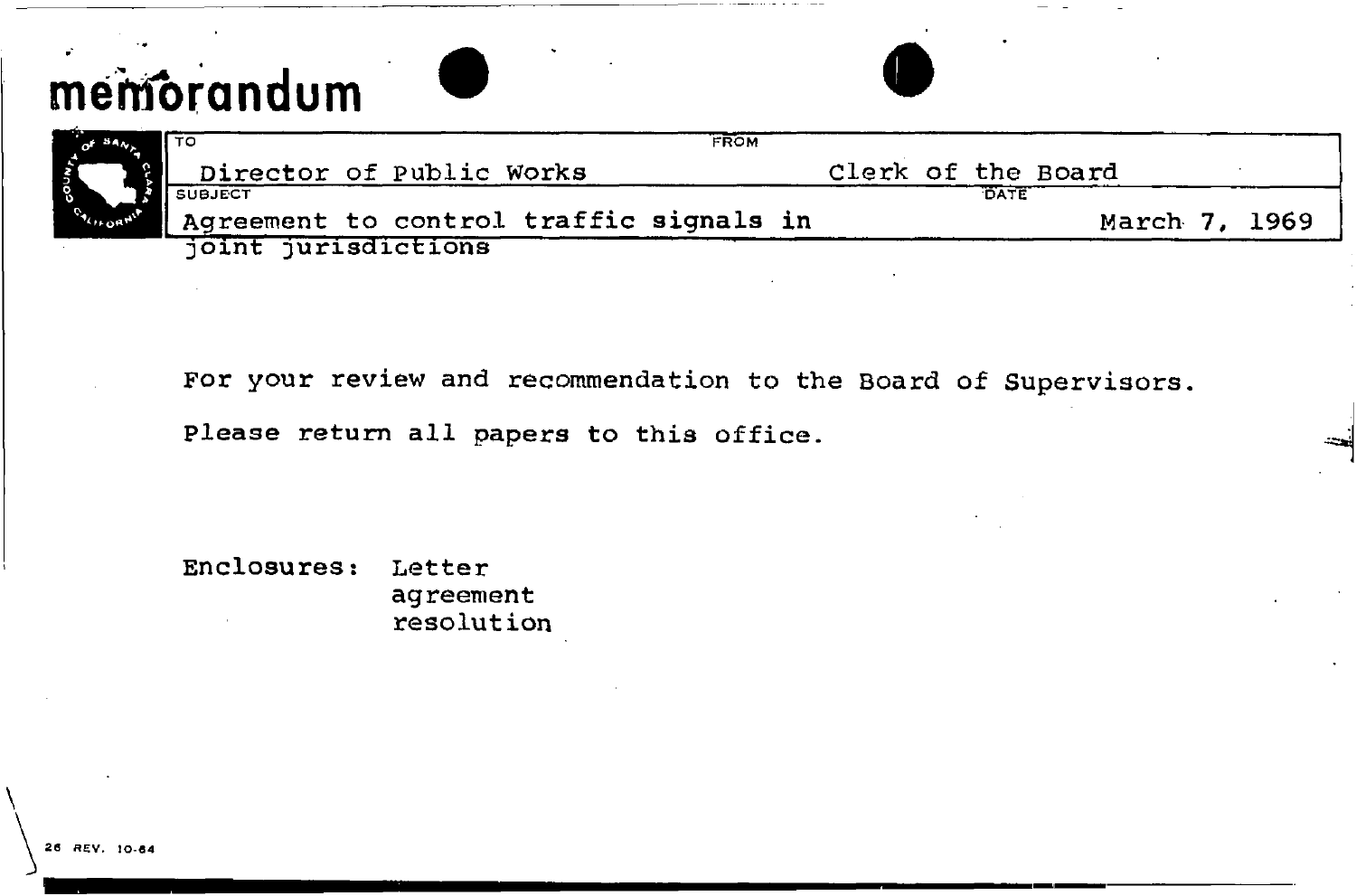# **memorandum**

|                        | I To<br><b>FROM</b>                     |                    |
|------------------------|-----------------------------------------|--------------------|
|                        | Director of Public Works                | Clerk of the Board |
|                        |                                         | <b>DATE</b>        |
| CALIFORMI <sup>R</sup> | Agreement to control traffic signals in | March 7, 1969      |
|                        | joint jurisdictions                     |                    |

For your review and recommendation to the Board of Supervisors.

Please return all papers to this office.

Enclosures: Letter agreement resolution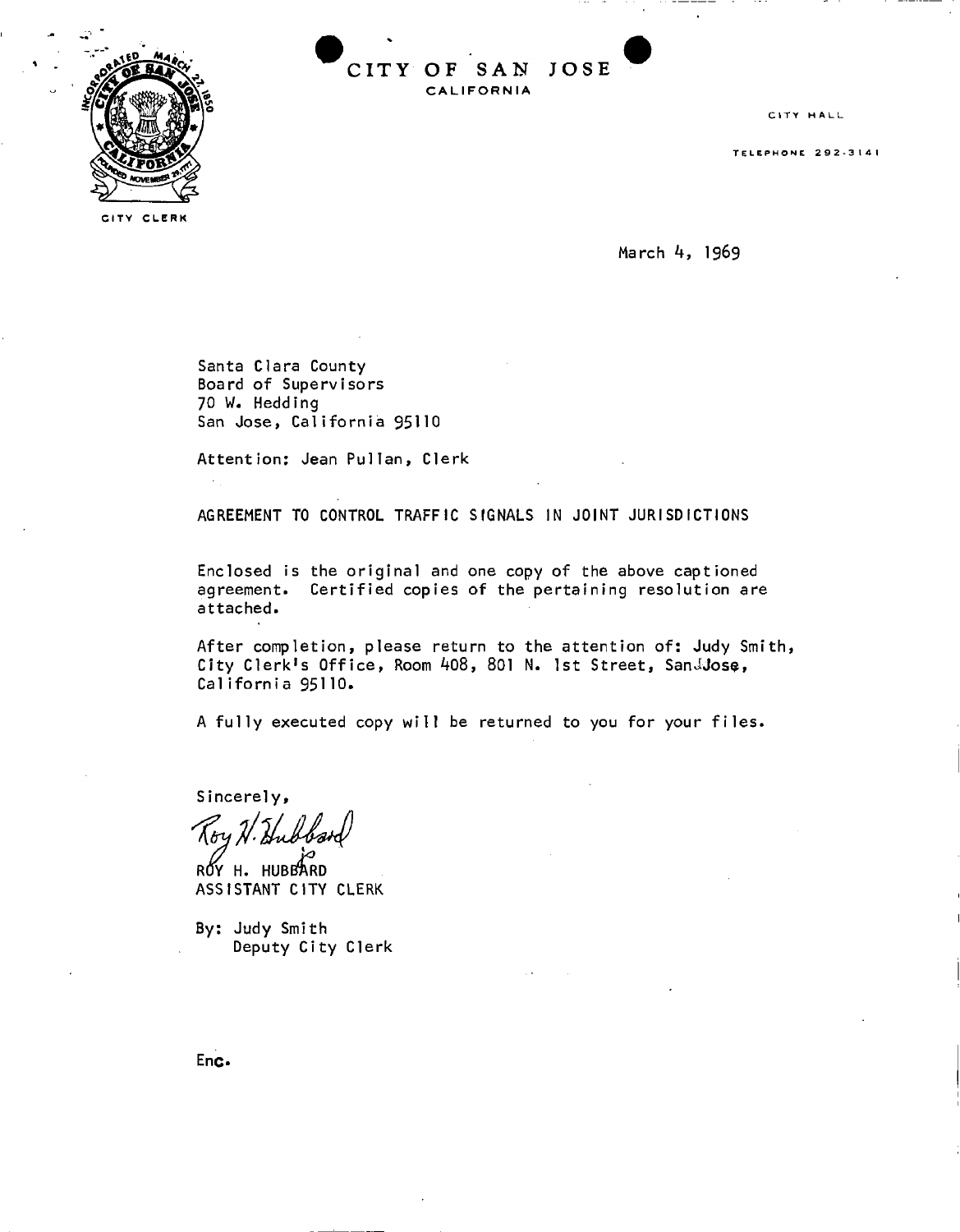



**CIT Y CLER K** 

CITY HALL

**TELEPHON E 292- 3 14 1** 

March 4, 1969

Santa Clara County Board of Supervisors 70 W. Hedding San Jose, California 95110

Attention: Jean Pullan , Clerk

AGREEMENT TO CONTROL TRAFFIC SIGNALS IN JOINT JURISDICTIONS

Enclosed is the original and one copy of the above captioned agreement. Certified copies of the pertaining resolution are attached.

After completion, please return to the attention of: Judy Smith, City Clerk's Office, Room 408, 801 N. 1st Street, SanJJose, California 95110.

A fully executed copy will be returned to you for your files.

Sincerely,

ROY H. HUBBARD ASSISTANT CITY CLERK

By: Judy Smith Deputy City Clerk

Enc.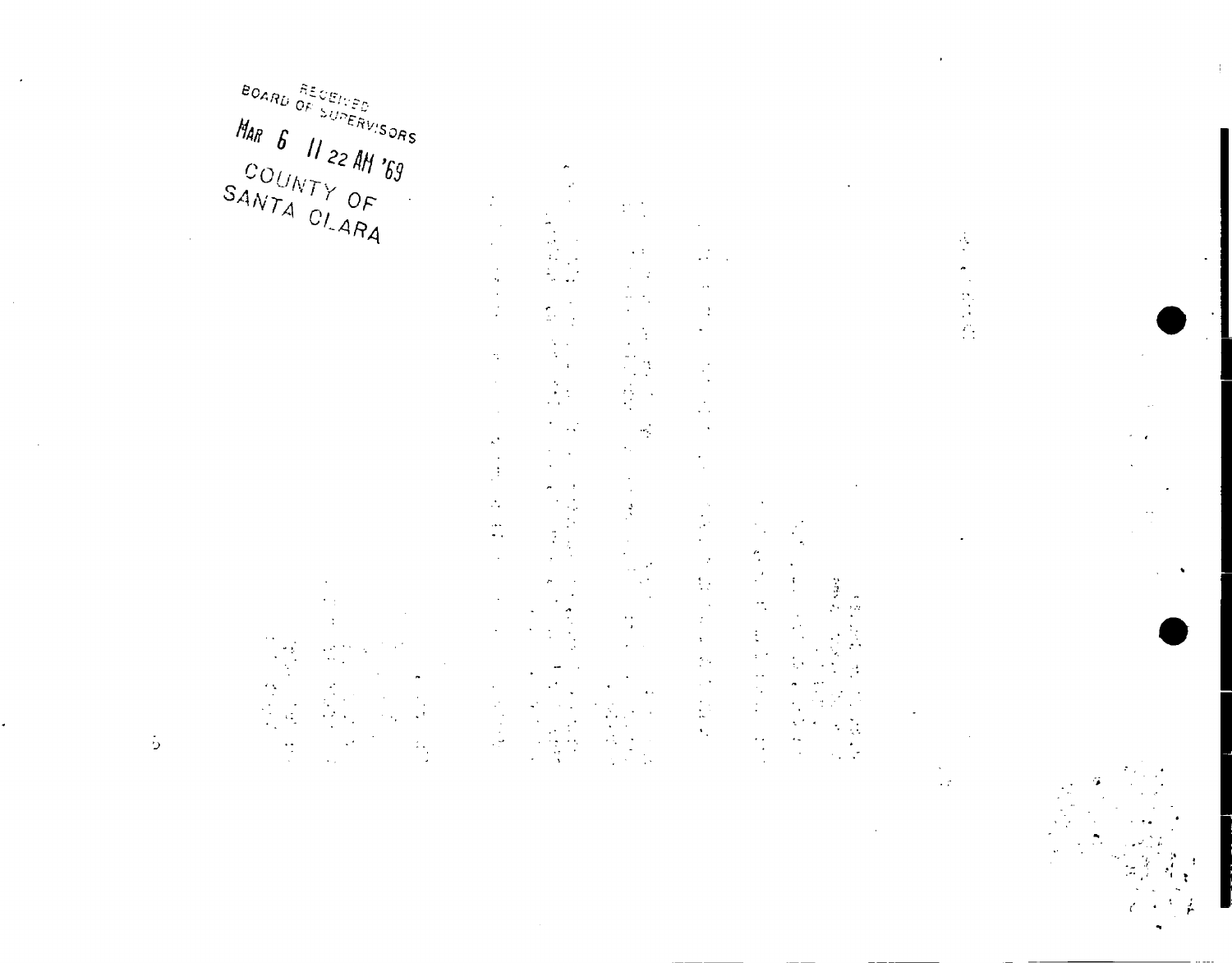$\varepsilon_{O_{\mathcal{A}_{R_{U}}}}\overset{\tilde{\pi}_{\mathcal{E}_{\mathcal{L}_{\mathcal{E}_{\mathcal{E}_{\mathcal{L}}}}}}}{_{O_{F}}\supset U\cap\mathcal{E}_{\tilde{R}_{V/S}}}}$ MAR 6 11 22 AM '69 

 $\ddot{\cdot}$  $\frac{1}{2}$  $\sim$   $\,$  $\frac{1}{\sqrt{2}}$  $\ddot{\phantom{1}}$  $\epsilon_{\rm g}$  $\frac{1}{2}$  $\ddot{\phantom{a}}$ 

 $\frac{1}{2}$ 

 $\frac{1}{2}$ 

 $\mathbb{C}$  $\mathbf{r}$  $\,$  ,  $\hat{\mathbf{v}}_t$  $\bar{z}$  $\frac{1}{2}$  $\mathcal{H}_{\mathcal{L}}$  $\zeta^{\frac{1}{2}}$  $\mathcal{N}_\epsilon$  $\frac{1}{\sqrt{2}}$  $\mathcal{A}$  $\mathbb{R}^2$ 

 $\cdot$  $\bar{z}$  $\sigma$  $\frac{9}{2}$  $\bar{z}$  $\mathbf{r}$  $\frac{1}{2}$  $\ddot{\phantom{a}}$  $\mathbb{R}^3$ J.

 $\mathcal{P}$  $\sum_{i=1}^n \frac{1}{i}$  $\frac{1}{\sqrt{2}}$  $\sim$   $\pm$  $\sim$  C  $\cdot$  $\bar{z}$  $\ddot{\phantom{a}}$ ٠.  $\frac{1}{2}$  $\lambda$ Ó  $\ddot{\phantom{a}}$ 

 $\bar{z}$  $\begin{array}{c} \frac{1}{2} \\ \frac{1}{2} \end{array}$  $\hat{\mathcal{A}}$  $\mathcal{L}$  $\ddot{\phantom{0}}$  $\ddot{\phantom{a}}$ 

 $\mathcal{L}^{\text{max}}$  $\sim$   $\sim$  $\ddot{\cdot}$ u.  $\frac{1}{2}$  $\cdot$  $\frac{1}{\sqrt{2}}$  $\mathcal{L}_{\mathcal{A}}$  $\mathcal{A}$  $\hat{\mathcal{A}}$  $\bar{\mathcal{A}}$  $\ddot{\phantom{a}}$ ò.  $\mathbf{r}$  $\ddot{\phantom{a}}$ 

 $\frac{1}{2}$  $\ddot{\phantom{1}}$  .  $\ddot{\cdot}$  $\ddot{\phantom{0}}$  $\mathbb{R}^2$  $\ddot{\phantom{a}}$  $\frac{1}{2}$  $\ddot{\phantom{1}}$  $\ddot{\phantom{1}}$  $\mathcal{A}$  $\sim$  $\hat{z}$  $\frac{1}{2}$  .  $\bar{z}$  $\hat{\mathcal{I}}$  $\bar{\mathbf{z}}$  $\frac{1}{2} \frac{1}{2}$  $\frac{1}{2}$  .  $\begin{bmatrix} 1 \\ 1 \end{bmatrix}$  $\hat{\mathcal{F}}_1$ 

 $\hat{\gamma}$  $\bar{z}$  $\langle \cdot \rangle$  $\ddot{\ddot{z}}$  $\chi \to$  $\mathbb{Z}^2$ ÷,  $\frac{1}{2}$ 

 $\frac{1}{2}$  $\cdot$  $\ddot{\phantom{a}}$ ţ,  $\overline{a}$  $\mathbb{C}^*$ 

 $\begin{bmatrix} 1 \\ 1 \\ 2 \end{bmatrix}$  $\mathcal{A}^{\mathcal{A}}$  $\overline{\phantom{a}}$ 

÷,  $\bar{\mathcal{L}}$  $\sim \tau^2$ 

 $\ddot{\cdot}$  $\ddot{\phantom{a}}$  $\frac{1}{1}$ 

 $\sim$  .

 $\frac{1}{2}$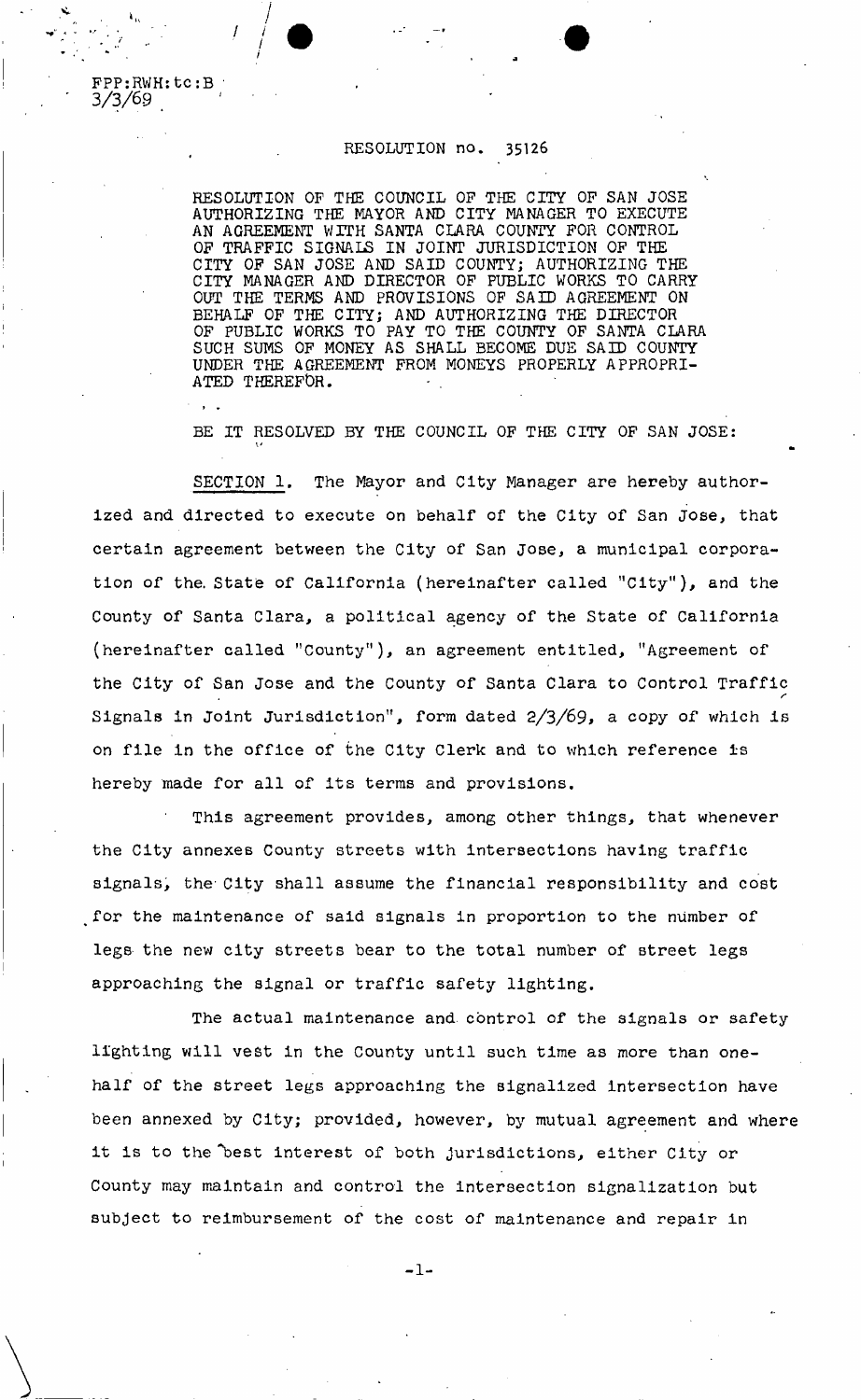## RESOLUTION no. 35126

RESOLUTION OF THE COUNCIL OF THE CITY OF SAN JOSE AUTHORIZING THE MAYOR AND CITY MANAGER TO EXECUTE AN AGREEMENT WITH SANTA CLARA COUNTY FOR CONTROL OF TRAFFIC SIGNALS IN JOINT JURISDICTION OF THE CITY OF SAN JOSE AND SAID COUNTY; AUTHORIZING THE CITY MANAGER AND DIRECTOR OF PUBLIC WORKS TO CARRY OUT THE TERMS AND PROVISIONS OF SAID AGREEMENT ON BEHALF OF THE CITY; AND AUTHORIZING THE DIRECTOR OF PUBLIC WORKS TO PAY TO THE COUNTY OF SANTA CLARA SUCH SUMS OF MONEY AS SHALL BECOME DUE SAID COUNTY UNDER THE AGREEMENT FROM MONEYS PROPERLY APPROPRI-ATED THEREFOR.

BE IT RESOLVED BY THE COUNCIL OF THE CITY OF SAN JOSE:

SECTION 1, The Mayor and City Manager are hereby authorized and directed to execute on behalf of the City of San Jose, that certain agreement between the City of San Jose, a municipal corporation of the. State of California (hereinafter called "City"), and the County of Santa Clara, a political agency of the State of California (hereinafter called "County"), an agreement entitled, "Agreement of the City of San Jose and the County of Santa Clara to Control Traffic Signals in Joint Jurisdiction", form dated  $2/3/69$ , a copy of which is on file In the office of the City Clerk and to which reference is hereby made for all of its terms and provisions.

This agreement provides, among other things, that whenever the City annexes County streets with intersections having traffic signals, the City shall assume the financial responsibility and cost for the maintenance of said signals in proportion to the number of legs the new city streets bear to the total number of street legs approaching the signal or traffic safety lighting.

The actual maintenance and control of the signals or safety lighting will vest in the County until such time as more than onehalf of the street legs approaching the signalized intersection have been annexed by City; provided, however, by mutual agreement and where it is to the "best interest of both jurisdictions, either City or County may maintain and control the intersection signalization but subject to reimbursement of the cost of maintenance and repair in

 $-1-$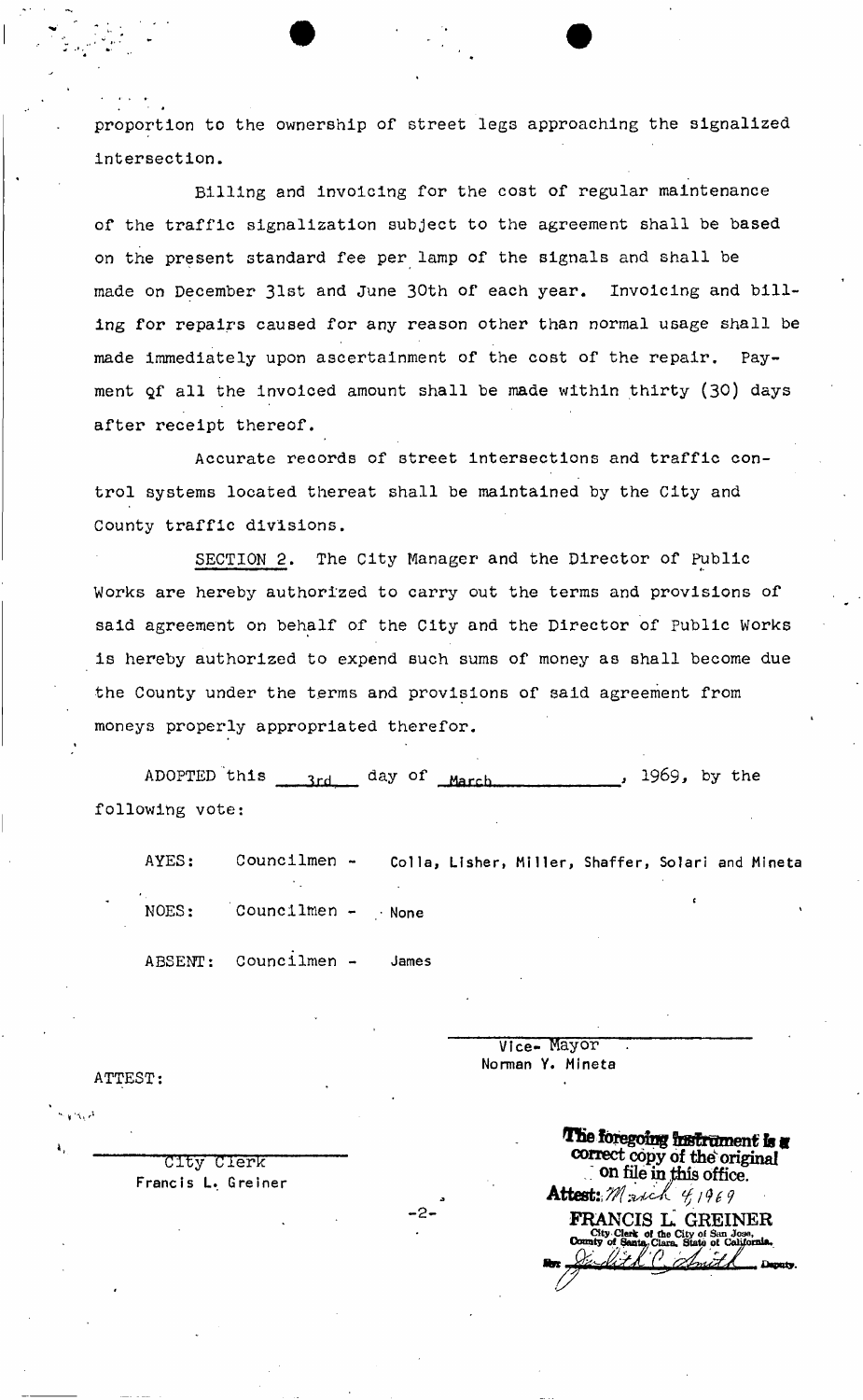proportion to the ownership of street legs approaching the signalized intersection.

Billing and invoicing for the cost of regular maintenance of the traffic signalization subject to the agreement shall be based on the present standard fee per lamp of the signals and shall be made on December 31st and June 30th of each year. Invoicing and billing for repairs caused for any reason other than normal usage shall be made immediately upon ascertainment of the cost of the repair. Payment Qf all the invoiced amount shall be made within thirty (30) days after receipt thereof.

Accurate records of street intersections and traffic control systems located thereat shall be maintained by the City and County traffic divisions.

SECTION 2. The City Manager and the Director of Public Works are hereby authorized to carry out the terms and provisions of said agreement on behalf of the City and the Director of Public Works is hereby authorized to expend such sums of money as shall become due the County under the terms and provisions of said agreement from moneys properly appropriated therefor.

ADOPTED this  $_{3rd}$  day of  $_{March}$ , 1969, by the following vote:

AYES: Councilmen - Colla, Lisher, Miller, Shaffer, Solari and Mineta

-2-

NOES: Councilmen - . None

ABSENT: Councilmen - James

ATTEST:

Vice- Mayor Norman Y. Mineta

g City Clerk **City** Clerk **correct** copy of the original **correct** Francis L. Greiner  $\overline{\text{C}}$  .  $\overline{\text{C}}$  .  $\overline{\text{C}}$  .  $\overline{\text{C}}$  .  $\overline{\text{C}}$  .  $\overline{\text{C}}$  .  $\overline{\text{C}}$  .  $\overline{\text{C}}$  .  $\overline{\text{C}}$  .  $\overline{\text{C}}$  .  $\overline{\text{C}}$  .  $\overline{\text{C}}$  .  $\overline{\text{C}}$  .  $\overline{\text{C}}$  .  $\overline{\text{C}}$  .  $\overline{\text{$ Francis L. Greiner<br>  $\Delta$ Hoot:  $M_{\rm m,0}$  $\frac{1}{\sqrt{2}}\frac{1}{\sqrt{2}}\left(\frac{1}{\sqrt{2}}\right)^{1/2}$ **FRANCIS L. GREINER**  City Clerk of the City of San  $\overline{\text{County}}$  of Santa, Clara, State of Co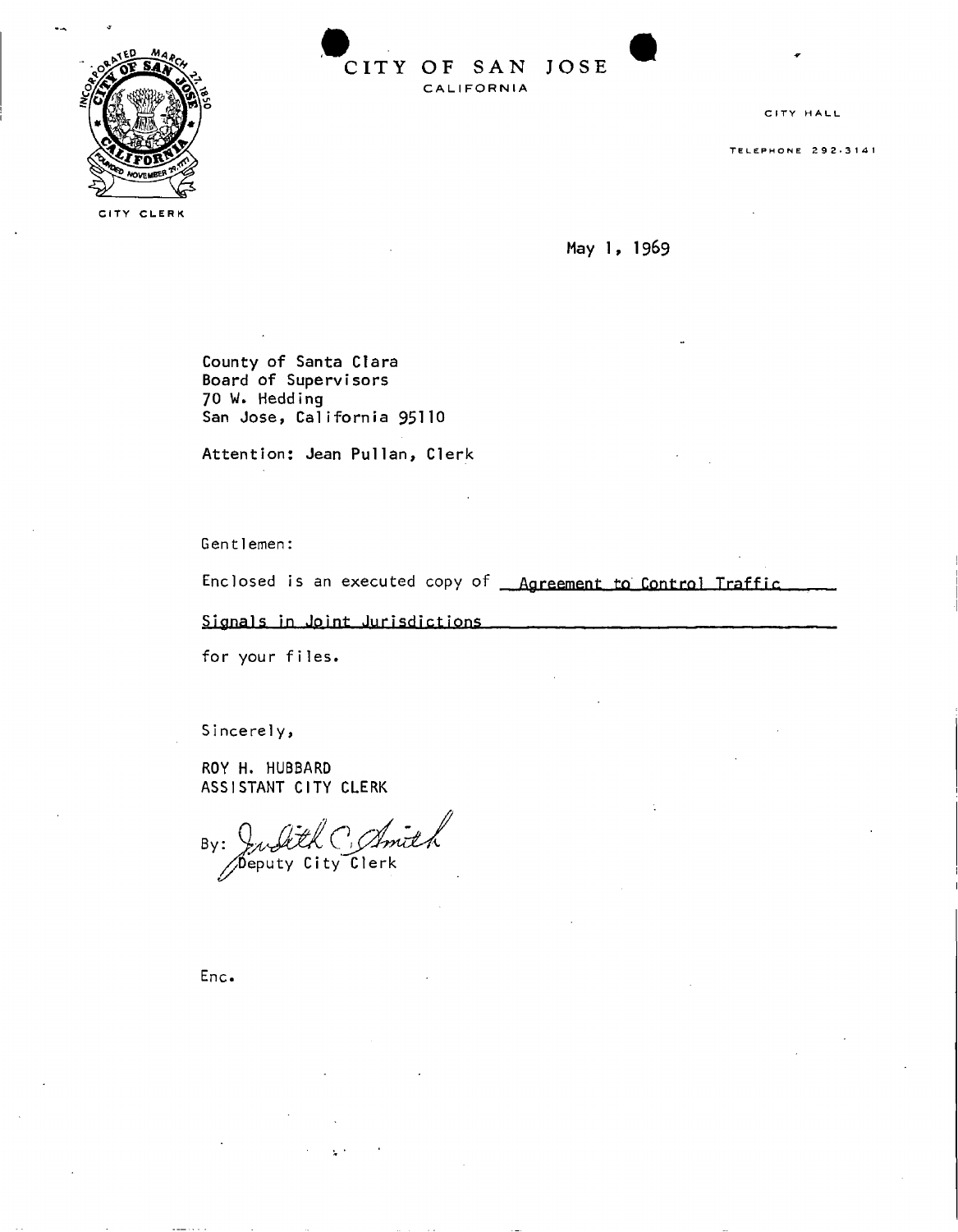

**CIT Y OF SA N JOS E CAL I FOR N IA** 

**CIT Y HAL L** 

**TELEPHON E 292-31 4** 

**CIT Y CLER K** 

May 1, 1969

County of Santa Clara Board of Supervisors 70 W. Hedding

Attention: Jean Pullan , Clerk

Gent 1emen:

Enclosed is an executed copy of <u>Agreement to Control Traffic</u>

Signals in Joint Jurisdictions

for your files.

Sincerely ,

ROY H. HUBBARD ASSISTANT CITY CLERK

Julith C. Amith  $By:$ 

Enc.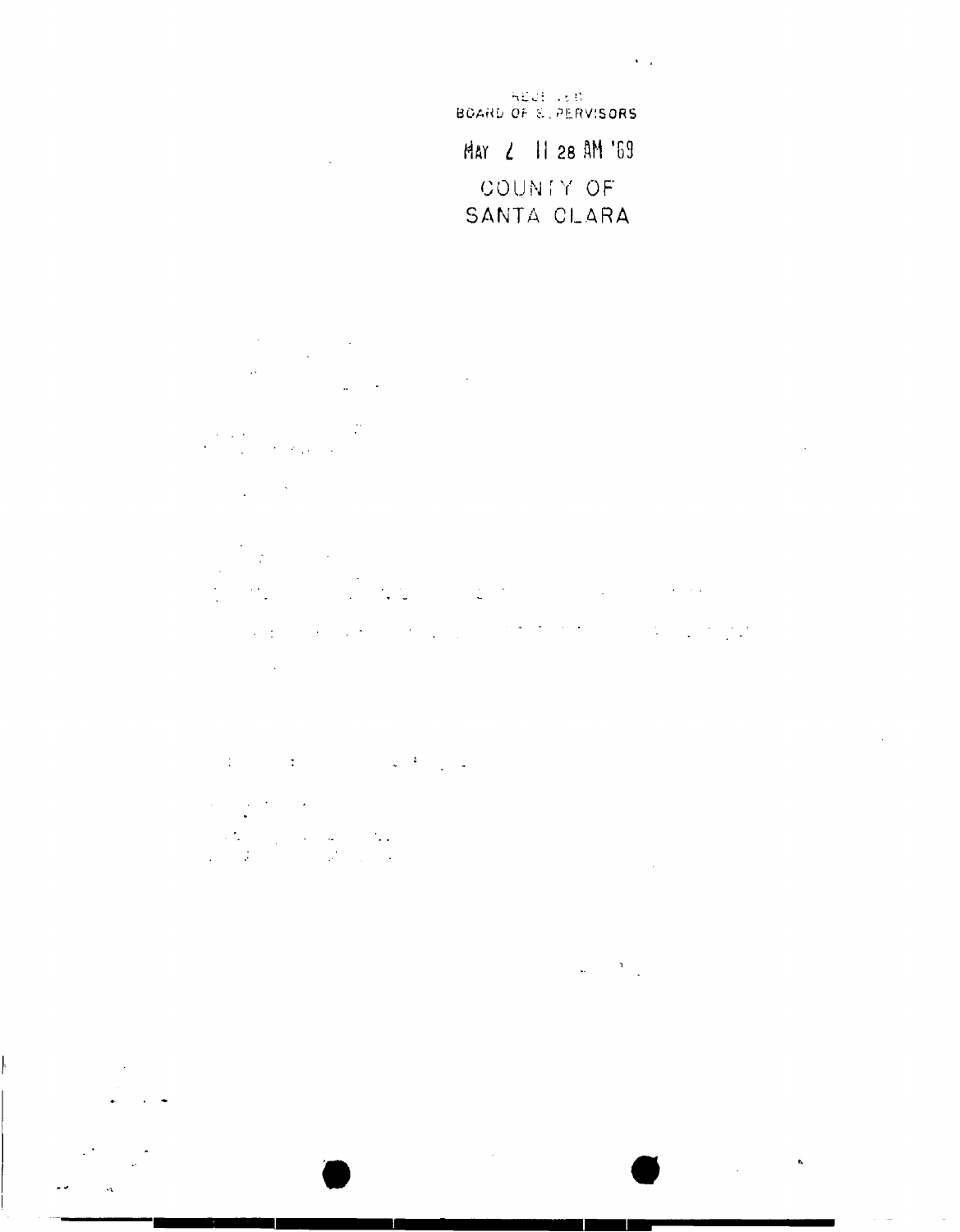HEUE LED Har 2 11 28 AM '69 COUNTY OF

**Contractor** 

## SANTA CLARA

 $\frac{1}{2} \frac{1}{2} \left( \frac{1}{2} \right)$ 

 $\sim$   $\sim$ 

 $\label{eq:2} \frac{1}{2}\sum_{i=1}^n\frac{1}{2}\sum_{j=1}^n\frac{1}{2}\sum_{j=1}^n\frac{1}{2}\sum_{j=1}^n\frac{1}{2}\sum_{j=1}^n\frac{1}{2}\sum_{j=1}^n\frac{1}{2}\sum_{j=1}^n\frac{1}{2}\sum_{j=1}^n\frac{1}{2}\sum_{j=1}^n\frac{1}{2}\sum_{j=1}^n\frac{1}{2}\sum_{j=1}^n\frac{1}{2}\sum_{j=1}^n\frac{1}{2}\sum_{j=1}^n\frac{1}{2}\sum_{j=1}^n\frac{$  $\mathbf{r}$ 

 $\sim$  $\mathcal{L}^{\mathcal{L}}(x)$  and  $\mathcal{L}^{\mathcal{L}}(x)$  are the set of the set of the set of the set of the set of the set of the set of the set of the set of the set of the set of the set of the set of the set of the set of the set of ki ki

. The properties of the set of the set of the set of the set of the set of the set of the set of the set of the set of the set of the set of the set of the set of the set of the set of the set of the set of the set of the  $\sim 10^{11}$  km

 $\label{eq:2.1} \mathcal{L}^{\mathcal{A}}(\mathcal{A}) = \mathcal{L}^{\mathcal{A}}(\mathcal{A}) = \mathcal{L}^{\mathcal{A}}(\mathcal{A}) = \mathcal{L}^{\mathcal{A}}(\mathcal{A}) = \mathcal{L}^{\mathcal{A}}(\mathcal{A})$ 

 $\begin{aligned} \frac{1}{2} \left( \frac{1}{2} \sum_{i=1}^{n} \frac{1}{2} \left( \frac{1}{2} \sum_{i=1}^{n} \frac{1}{2} \left( \frac{1}{2} \sum_{i=1}^{n} \frac{1}{2} \right) \right) \right) \\ \frac{1}{2} \left( \sum_{i=1}^{n} \frac{1}{2} \sum_{i=1}^{n} \frac{1}{2} \left( \frac{1}{2} \sum_{i=1}^{n} \frac{1}{2} \sum_{i=1}^{n} \frac{1}{2} \sum_{i=1}^{n} \frac{1}{2} \right) \right) \end{aligned}$ 

 $\label{eq:2.1} \omega_{\rm{eff}} = \frac{2}{\pi} \frac{1}{\omega_{\rm{eff}}} \, .$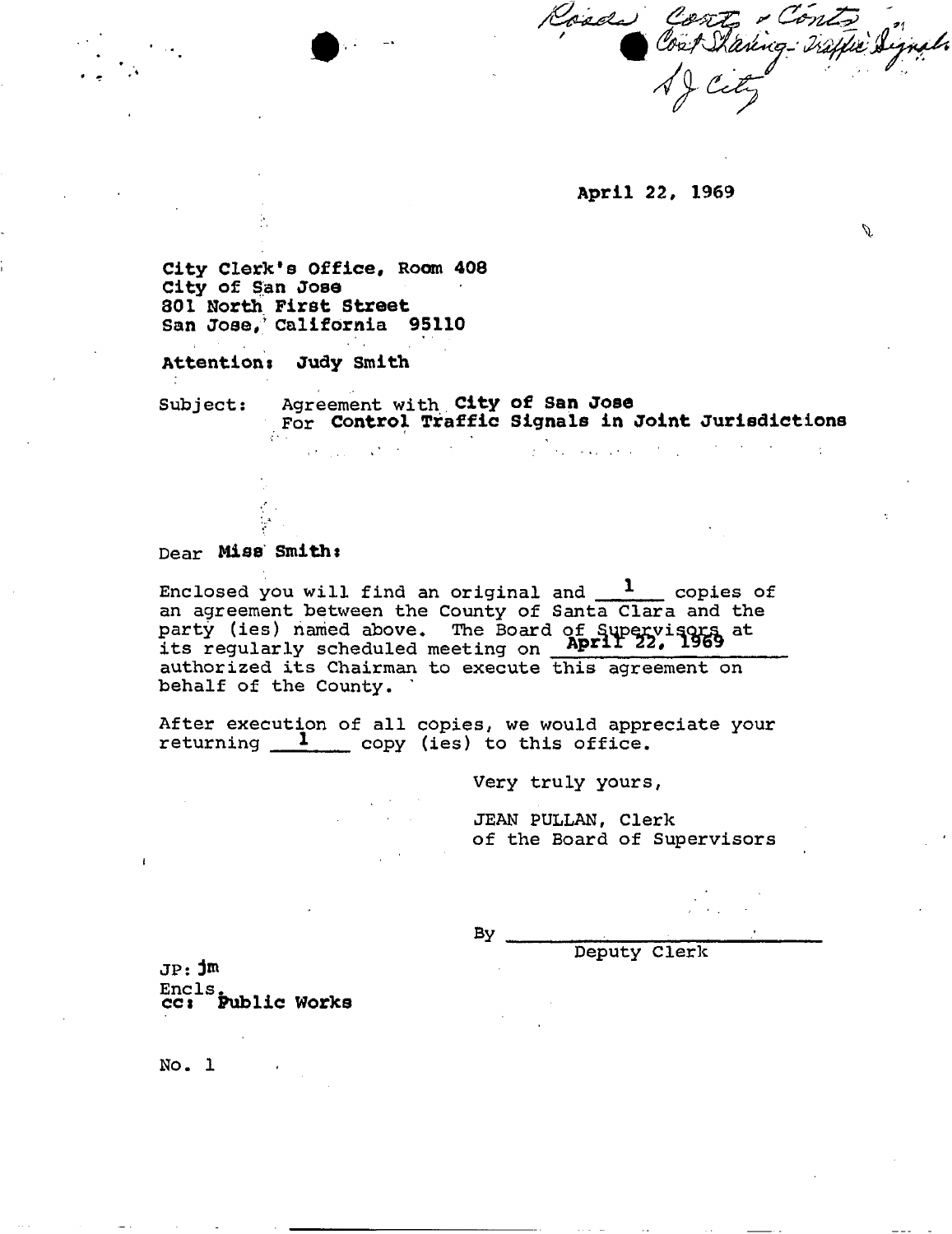Conte - Conte

Ű.

**April 22, 1969** 

City Clerk's Office, Room 408 **City of San Jose 301 North First Street**  San Jose, California 95110

 $\frac{1}{2}$  S  $\sim$  10  $\sim$ 

**Attentions Judy Smith** 

Subject: Agreement with **City of San Jose**  For **Control Traffic Signals in Joint Jurisdictions** 

## Dear **Miss Smiths**

Enclosed you will find an original and  $1$  copies of an agreement between the County of Santa Clara and the party (ies) named above. The Board of Supervisors at **its** regularly scheduled meeting on **Aprir 22, 1969**  authorized its Chairman to execute this agreement on behalf of the County.

After execution of all copies, we would appreciate your returning  $\frac{1}{\sqrt{2}}$  copy (ies) to this office.

Very truly yours,

 $\mathcal{L}^{\text{max}}_{\text{max}}$  . The second contract of the second contract of the second contract of the second contract of the second contract of the second contract of the second contract of the second contract of the second con

JEAN PULLAN, Clerk of the Board of Supervisors

By

Deputy Clerk

JP: jm Encls. **cc\* Public Works** 

No. 1